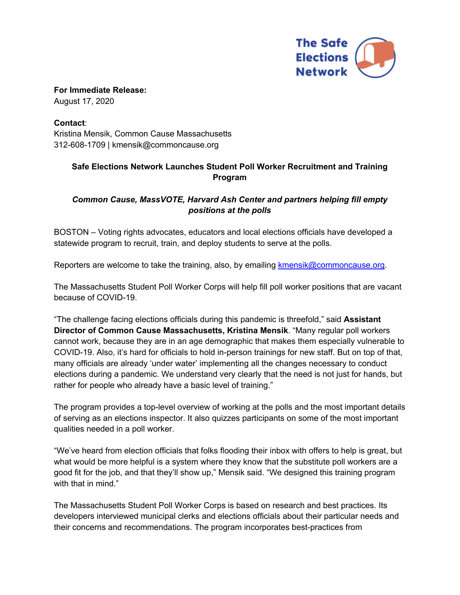

**For Immediate Release:** August 17, 2020

**Contact**: Kristina Mensik, Common Cause Massachusetts 312-608-1709 | kmensik@commoncause.org

## **Safe Elections Network Launches Student Poll Worker Recruitment and Training Program**

## *Common Cause, MassVOTE, Harvard Ash Center and partners helping fill empty positions at the polls*

BOSTON – Voting rights advocates, educators and local elections officials have developed a statewide program to recruit, train, and deploy students to serve at the polls.

Reporters are welcome to take the training, also, by emailing kmensik@commoncause.org.

The Massachusetts Student Poll Worker Corps will help fill poll worker positions that are vacant because of COVID-19.

"The challenge facing elections officials during this pandemic is threefold," said **Assistant Director of Common Cause Massachusetts, Kristina Mensik**. "Many regular poll workers cannot work, because they are in an age demographic that makes them especially vulnerable to COVID-19. Also, it's hard for officials to hold in-person trainings for new staff. But on top of that, many officials are already 'under water' implementing all the changes necessary to conduct elections during a pandemic. We understand very clearly that the need is not just for hands, but rather for people who already have a basic level of training."

The program provides a top-level overview of working at the polls and the most important details of serving as an elections inspector. It also quizzes participants on some of the most important qualities needed in a poll worker.

"We've heard from election officials that folks flooding their inbox with offers to help is great, but what would be more helpful is a system where they know that the substitute poll workers are a good fit for the job, and that they'll show up," Mensik said. "We designed this training program with that in mind."

The Massachusetts Student Poll Worker Corps is based on research and best practices. Its developers interviewed municipal clerks and elections officials about their particular needs and their concerns and recommendations. The program incorporates best-practices from